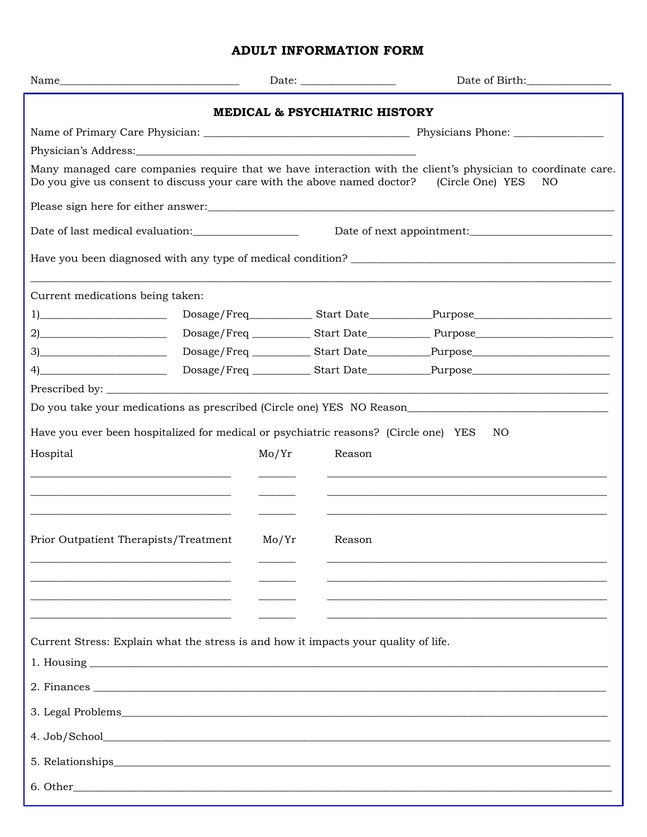# ADULT INFORMATION FORM

|                                                                                         |       |                                          | Date of Birth:                                                                                                                          |
|-----------------------------------------------------------------------------------------|-------|------------------------------------------|-----------------------------------------------------------------------------------------------------------------------------------------|
|                                                                                         |       | <b>MEDICAL &amp; PSYCHIATRIC HISTORY</b> |                                                                                                                                         |
|                                                                                         |       |                                          |                                                                                                                                         |
|                                                                                         |       |                                          |                                                                                                                                         |
| Do you give us consent to discuss your care with the above named doctor?                |       |                                          | Many managed care companies require that we have interaction with the client's physician to coordinate care.<br>(Circle One) YES<br>NO. |
|                                                                                         |       |                                          |                                                                                                                                         |
| Date of last medical evaluation:                                                        |       |                                          |                                                                                                                                         |
|                                                                                         |       |                                          |                                                                                                                                         |
| Current medications being taken:                                                        |       |                                          |                                                                                                                                         |
| $\boxed{1}$                                                                             |       |                                          |                                                                                                                                         |
| 2)                                                                                      |       |                                          |                                                                                                                                         |
| $3)$ and $3$                                                                            |       |                                          |                                                                                                                                         |
| $\left( \begin{array}{c} 4 \end{array} \right)$                                         |       |                                          |                                                                                                                                         |
|                                                                                         |       |                                          |                                                                                                                                         |
|                                                                                         |       |                                          | Do you take your medications as prescribed (Circle one) YES NO Reason_______________________________                                    |
| Have you ever been hospitalized for medical or psychiatric reasons? (Circle one) YES NO |       |                                          |                                                                                                                                         |
| Hospital                                                                                | Mo/Yr | Reason                                   |                                                                                                                                         |
|                                                                                         |       |                                          |                                                                                                                                         |
| <u> 1989 - Johann Stoff, amerikansk politiker (d. 1989)</u>                             |       |                                          |                                                                                                                                         |
|                                                                                         |       |                                          | <u> 1989 - Johann John Stoff, deutscher Stoffen und der Stoffen und der Stoffen und der Stoffen und der Stoffen</u>                     |
| Prior Outpatient Therapists/Treatment                                                   | Mo/Yr | Reason                                   |                                                                                                                                         |
|                                                                                         |       |                                          |                                                                                                                                         |
|                                                                                         |       |                                          |                                                                                                                                         |
|                                                                                         |       |                                          |                                                                                                                                         |
|                                                                                         |       |                                          | <u> 1989 - Johann Barn, mars an t-Amerikaansk politiker (* 1908)</u>                                                                    |
| Current Stress: Explain what the stress is and how it impacts your quality of life.     |       |                                          |                                                                                                                                         |
|                                                                                         |       |                                          |                                                                                                                                         |
|                                                                                         |       |                                          |                                                                                                                                         |
|                                                                                         |       |                                          |                                                                                                                                         |
|                                                                                         |       |                                          |                                                                                                                                         |
|                                                                                         |       |                                          |                                                                                                                                         |
|                                                                                         |       |                                          | 6. Other                                                                                                                                |
|                                                                                         |       |                                          |                                                                                                                                         |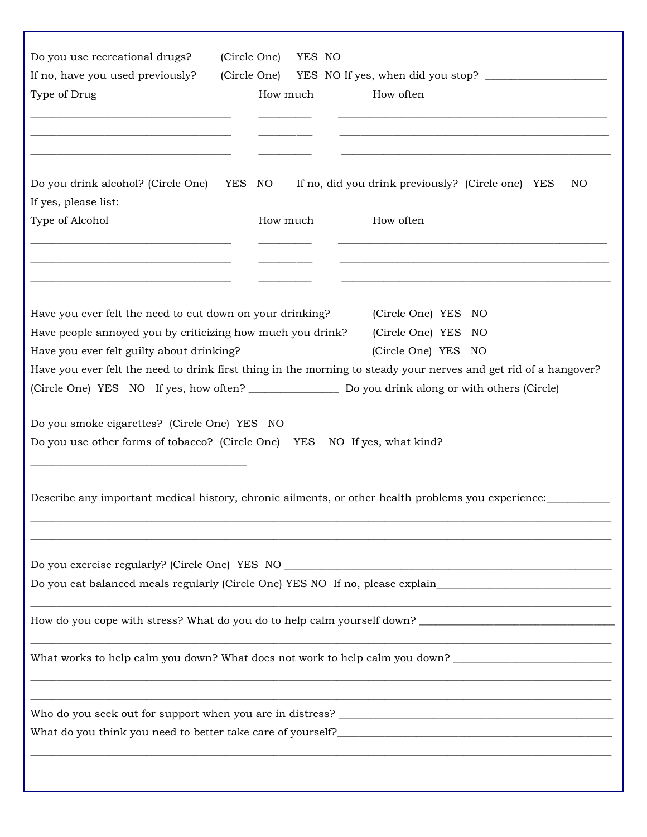| Do you use recreational drugs?<br>If no, have you used previously?<br>Type of Drug                                                                                                                                                                                                                                                                                                                                                                                                            | (Circle One)<br>(Circle One) |  | YES NO<br>How much |  | How often                                                                                                                                                                                     |  |  |
|-----------------------------------------------------------------------------------------------------------------------------------------------------------------------------------------------------------------------------------------------------------------------------------------------------------------------------------------------------------------------------------------------------------------------------------------------------------------------------------------------|------------------------------|--|--------------------|--|-----------------------------------------------------------------------------------------------------------------------------------------------------------------------------------------------|--|--|
| Do you drink alcohol? (Circle One) YES NO<br>If yes, please list:<br>Type of Alcohol                                                                                                                                                                                                                                                                                                                                                                                                          |                              |  | How much           |  | If no, did you drink previously? (Circle one) YES<br>NO<br>How often<br><u> 1980 - Johann Barn, amerikan bernama di sebagai bernama di sebagai bernama di sebagai bernama di sebagai bern</u> |  |  |
| Have you ever felt the need to cut down on your drinking?<br>(Circle One) YES NO<br>Have people annoyed you by criticizing how much you drink?<br>(Circle One) YES NO<br>(Circle One) YES NO<br>Have you ever felt guilty about drinking?<br>Have you ever felt the need to drink first thing in the morning to steady your nerves and get rid of a hangover?<br>Do you smoke cigarettes? (Circle One) YES NO<br>Do you use other forms of tobacco? (Circle One) YES<br>NO If yes, what kind? |                              |  |                    |  |                                                                                                                                                                                               |  |  |
|                                                                                                                                                                                                                                                                                                                                                                                                                                                                                               |                              |  |                    |  | Describe any important medical history, chronic ailments, or other health problems you experience:                                                                                            |  |  |
|                                                                                                                                                                                                                                                                                                                                                                                                                                                                                               |                              |  |                    |  | Do you exercise regularly? (Circle One) YES NO __________________________________<br>Do you eat balanced meals regularly (Circle One) YES NO If no, please explain_______________________     |  |  |
|                                                                                                                                                                                                                                                                                                                                                                                                                                                                                               |                              |  |                    |  |                                                                                                                                                                                               |  |  |
| What works to help calm you down? What does not work to help calm you down?                                                                                                                                                                                                                                                                                                                                                                                                                   |                              |  |                    |  |                                                                                                                                                                                               |  |  |
| <u> 1989 - John Harry Harry Harry Harry Harry Harry Harry Harry Harry Harry Harry Harry Harry Harry Harry Harry H</u><br>What do you think you need to better take care of yourself?                                                                                                                                                                                                                                                                                                          |                              |  |                    |  |                                                                                                                                                                                               |  |  |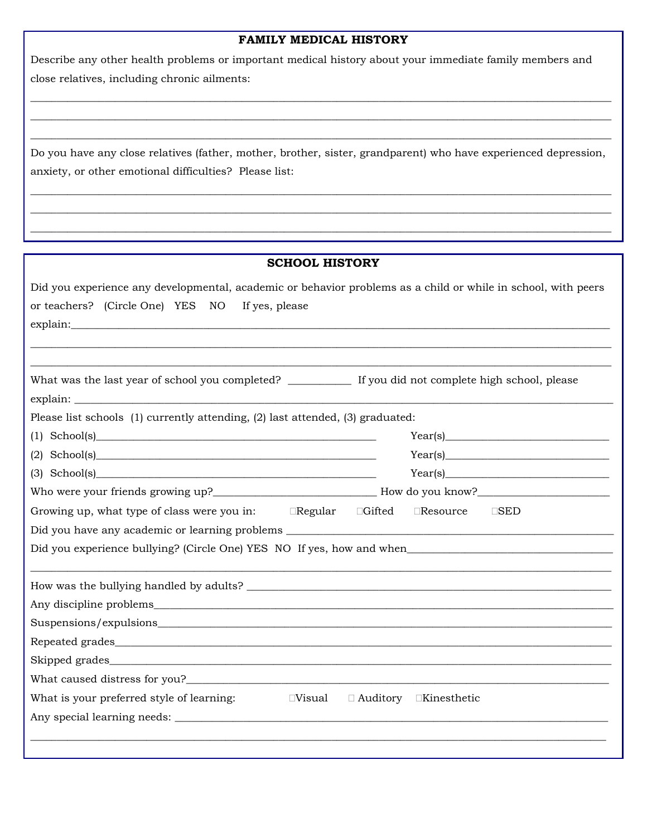### **FAMILY MEDICAL HISTORY**

Describe any other health problems or important medical history about your immediate family members and close relatives, including chronic ailments:

Do you have any close relatives (father, mother, brother, sister, grandparent) who have experienced depression, anxiety, or other emotional difficulties? Please list:

### **SCHOOL HISTORY**

| or teachers? (Circle One) YES NO                                                                                |  | If yes, please   |  | Did you experience any developmental, academic or behavior problems as a child or while in school, with peers |  |
|-----------------------------------------------------------------------------------------------------------------|--|------------------|--|---------------------------------------------------------------------------------------------------------------|--|
|                                                                                                                 |  |                  |  | What was the last year of school you completed? ___________ If you did not complete high school, please       |  |
| Please list schools (1) currently attending, (2) last attended, (3) graduated:                                  |  |                  |  |                                                                                                               |  |
|                                                                                                                 |  |                  |  |                                                                                                               |  |
| (2)                                                                                                             |  |                  |  |                                                                                                               |  |
|                                                                                                                 |  |                  |  |                                                                                                               |  |
|                                                                                                                 |  |                  |  |                                                                                                               |  |
| Growing up, what type of class were you in: $\square$ Regular $\square$ Gifted $\square$ Resource $\square$ SED |  |                  |  |                                                                                                               |  |
|                                                                                                                 |  |                  |  | Did you experience bullying? (Circle One) YES NO If yes, how and when                                         |  |
|                                                                                                                 |  |                  |  |                                                                                                               |  |
|                                                                                                                 |  |                  |  |                                                                                                               |  |
|                                                                                                                 |  |                  |  |                                                                                                               |  |
|                                                                                                                 |  |                  |  |                                                                                                               |  |
|                                                                                                                 |  |                  |  |                                                                                                               |  |
|                                                                                                                 |  |                  |  |                                                                                                               |  |
| What is your preferred style of learning:                                                                       |  | $\square$ Visual |  | $\Box$ Auditory $\Box$ Kinesthetic                                                                            |  |
|                                                                                                                 |  |                  |  |                                                                                                               |  |
|                                                                                                                 |  |                  |  |                                                                                                               |  |
|                                                                                                                 |  |                  |  |                                                                                                               |  |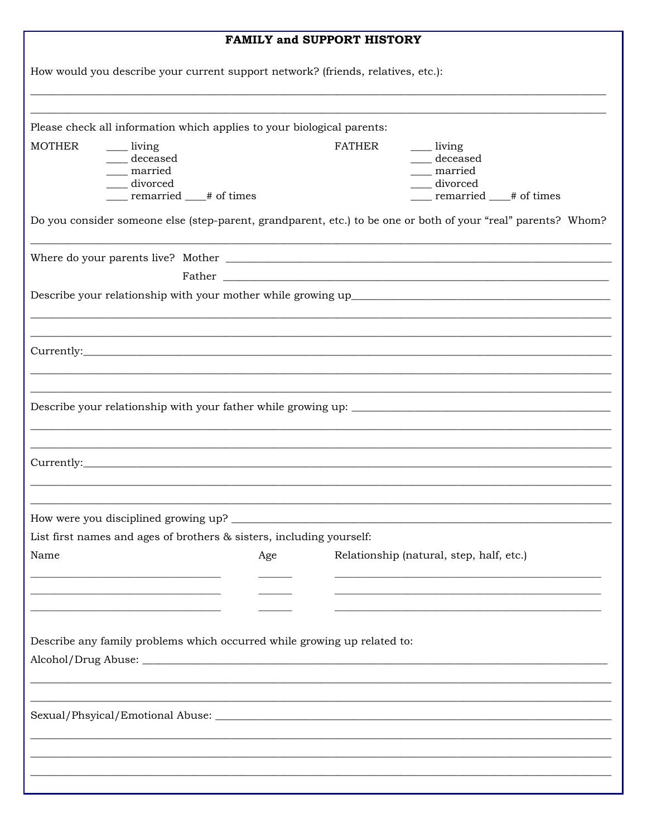## **FAMILY and SUPPORT HISTORY**

|               | How would you describe your current support network? (friends, relatives, etc.):                                                                                                                                               |     |               |                                                                                                                      |
|---------------|--------------------------------------------------------------------------------------------------------------------------------------------------------------------------------------------------------------------------------|-----|---------------|----------------------------------------------------------------------------------------------------------------------|
|               |                                                                                                                                                                                                                                |     |               |                                                                                                                      |
|               | Please check all information which applies to your biological parents:                                                                                                                                                         |     |               |                                                                                                                      |
| <b>MOTHER</b> | <u>_</u> __ living                                                                                                                                                                                                             |     | <b>FATHER</b> | <u>___</u> living                                                                                                    |
|               | deceased                                                                                                                                                                                                                       |     |               | ___ deceased                                                                                                         |
|               | __ married                                                                                                                                                                                                                     |     |               | __ married                                                                                                           |
|               | ___ divorced<br>remarried # of times                                                                                                                                                                                           |     |               | ___ divorced<br>____ remarried ___# of times                                                                         |
|               |                                                                                                                                                                                                                                |     |               |                                                                                                                      |
|               |                                                                                                                                                                                                                                |     |               | Do you consider someone else (step-parent, grandparent, etc.) to be one or both of your "real" parents? Whom?        |
|               |                                                                                                                                                                                                                                |     |               |                                                                                                                      |
|               | Father                                                                                                                                                                                                                         |     |               | <u> Andreas Andreas Andreas Andreas Andreas Andreas Andreas Andreas Andreas Andreas Andreas Andreas Andreas Andr</u> |
|               |                                                                                                                                                                                                                                |     |               |                                                                                                                      |
|               |                                                                                                                                                                                                                                |     |               |                                                                                                                      |
|               | Currently: experience and the second contract of the second contract of the second contract of the second contract of the second contract of the second contract of the second contract of the second contract of the second c |     |               |                                                                                                                      |
|               |                                                                                                                                                                                                                                |     |               |                                                                                                                      |
|               |                                                                                                                                                                                                                                |     |               |                                                                                                                      |
|               |                                                                                                                                                                                                                                |     |               |                                                                                                                      |
|               |                                                                                                                                                                                                                                |     |               |                                                                                                                      |
|               | How were you disciplined growing up?                                                                                                                                                                                           |     |               |                                                                                                                      |
|               | List first names and ages of brothers & sisters, including yourself:                                                                                                                                                           |     |               |                                                                                                                      |
| Name          |                                                                                                                                                                                                                                | Age |               | Relationship (natural, step, half, etc.)                                                                             |
|               | <u> 1989 - Johann Harry Harry Harry Harry Harry Harry Harry Harry Harry Harry Harry Harry Harry Harry Harry Harry</u>                                                                                                          |     |               |                                                                                                                      |
|               |                                                                                                                                                                                                                                |     |               |                                                                                                                      |
|               | Describe any family problems which occurred while growing up related to:                                                                                                                                                       |     |               |                                                                                                                      |
|               |                                                                                                                                                                                                                                |     |               |                                                                                                                      |
|               |                                                                                                                                                                                                                                |     |               |                                                                                                                      |
|               |                                                                                                                                                                                                                                |     |               |                                                                                                                      |
|               |                                                                                                                                                                                                                                |     |               |                                                                                                                      |
|               |                                                                                                                                                                                                                                |     |               |                                                                                                                      |
|               |                                                                                                                                                                                                                                |     |               |                                                                                                                      |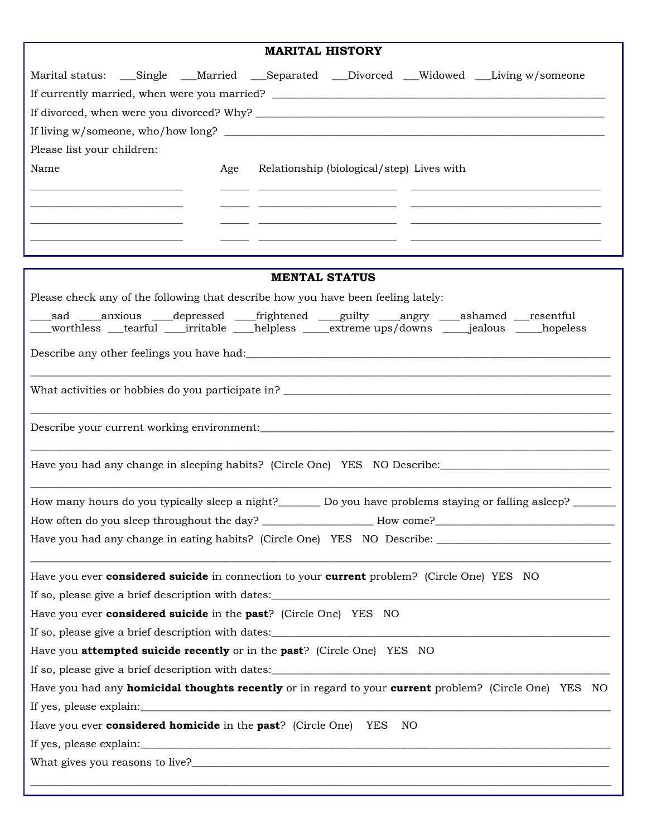### **MARITAL HISTORY**

| Marital status: __Single __Married __Separated __Divorced __Widowed __Living w/someone                               |                                                                                                                      |
|----------------------------------------------------------------------------------------------------------------------|----------------------------------------------------------------------------------------------------------------------|
|                                                                                                                      |                                                                                                                      |
|                                                                                                                      |                                                                                                                      |
| If living $w$ /someone, $who/how long$ ?                                                                             |                                                                                                                      |
| Please list your children:                                                                                           |                                                                                                                      |
| Name<br>Age                                                                                                          | Relationship (biological/step) Lives with                                                                            |
|                                                                                                                      |                                                                                                                      |
|                                                                                                                      | <u> 1980 - Andrea Stadt, fransk politiker (d. 1980)</u>                                                              |
| the control of the control of the control of the control of the control of the control of                            | <u> 1999 - Jan James James James James James James James James James James James James James James James James J</u> |
|                                                                                                                      |                                                                                                                      |
|                                                                                                                      |                                                                                                                      |
| <b>MENTAL STATUS</b>                                                                                                 |                                                                                                                      |
| Please check any of the following that describe how you have been feeling lately:                                    |                                                                                                                      |
| sad __anxious __depressed __frightened __guilty __angry __ashamed __resentful                                        |                                                                                                                      |
| ___worthless __tearful ___irritable ___helpless ____extreme ups/downs ____jealous ____hopeless                       |                                                                                                                      |
|                                                                                                                      |                                                                                                                      |
|                                                                                                                      |                                                                                                                      |
|                                                                                                                      |                                                                                                                      |
|                                                                                                                      |                                                                                                                      |
| Have you had any change in sleeping habits? (Circle One) YES NO Describe: __________________________                 |                                                                                                                      |
| How many hours do you typically sleep a night? _________ Do you have problems staying or falling asleep? _______     |                                                                                                                      |
| How often do you sleep throughout the day? _________________________How come?_________________________________       |                                                                                                                      |
| Have you had any change in eating habits? (Circle One) YES NO Describe: ____________________________                 |                                                                                                                      |
| Have you ever considered suicide in connection to your current problem? (Circle One) YES NO                          |                                                                                                                      |
| If so, please give a brief description with dates:<br><u>Example 2008</u>                                            |                                                                                                                      |
| Have you ever considered suicide in the past? (Circle One) YES NO                                                    |                                                                                                                      |
| If so, please give a brief description with dates:<br><u>Example 2008</u>                                            |                                                                                                                      |
| Have you <b>attempted suicide recently</b> or in the <b>past</b> ? (Circle One) YES NO                               |                                                                                                                      |
| If so, please give a brief description with dates:<br><u>Example 2006</u>                                            |                                                                                                                      |
| Have you had any <b>homicidal thoughts recently</b> or in regard to your <b>current</b> problem? (Circle One) YES NO |                                                                                                                      |
|                                                                                                                      |                                                                                                                      |
| Have you ever considered homicide in the past? (Circle One) YES NO                                                   |                                                                                                                      |
|                                                                                                                      |                                                                                                                      |
|                                                                                                                      |                                                                                                                      |
|                                                                                                                      |                                                                                                                      |